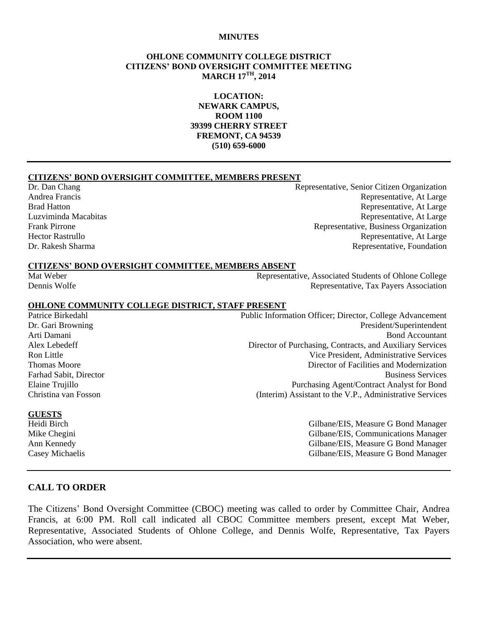#### **MINUTES**

#### **OHLONE COMMUNITY COLLEGE DISTRICT CITIZENS' BOND OVERSIGHT COMMITTEE MEETING MARCH 17TH, 2014**

**LOCATION: NEWARK CAMPUS, ROOM 1100 39399 CHERRY STREET FREMONT, CA 94539 (510) 659-6000**

#### **CITIZENS' BOND OVERSIGHT COMMITTEE, MEMBERS PRESENT**

Dr. Dan Chang Representative, Senior Citizen Organization Andrea Francis Representative, At Large Brad Hatton **Representative, At Large** Luzviminda Macabitas Representative, At Large Frank Pirrone Representative, Business Organization Hector Rastrullo Representative, At Large Dr. Rakesh Sharma Representative, Foundation

#### **CITIZENS' BOND OVERSIGHT COMMITTEE, MEMBERS ABSENT**

Mat Weber Representative, Associated Students of Ohlone College Dennis Wolfe Representative, Tax Payers Association

#### **OHLONE COMMUNITY COLLEGE DISTRICT, STAFF PRESENT**

Patrice Birkedahl Public Information Officer; Director, College Advancement Dr. Gari Browning **President** Superintendent **President** Superintendent Arti Damani Bond Accountant Alex Lebedeff Director of Purchasing, Contracts, and Auxiliary Services Ron Little **No. 2. In the Contract of the Vice President**, Administrative Services Thomas Moore **Thomas Moore** 2008 **The United States and Modernization** 2014 **Director of Facilities and Modernization** Farhad Sabit, Director Business Services Elaine Trujillo Purchasing Agent/Contract Analyst for Bond Christina van Fosson (Interim) Assistant to the V.P., Administrative Services

Heidi Birch Gilbane/EIS, Measure G Bond Manager Mike Chegini Gilbane/EIS, Communications Manager Ann Kennedy Gilbane/EIS, Measure G Bond Manager Casey Michaelis Gilbane/EIS, Measure G Bond Manager

# **GUESTS**

#### **CALL TO ORDER**

The Citizens' Bond Oversight Committee (CBOC) meeting was called to order by Committee Chair, Andrea Francis, at 6:00 PM. Roll call indicated all CBOC Committee members present, except Mat Weber, Representative, Associated Students of Ohlone College, and Dennis Wolfe, Representative, Tax Payers Association, who were absent.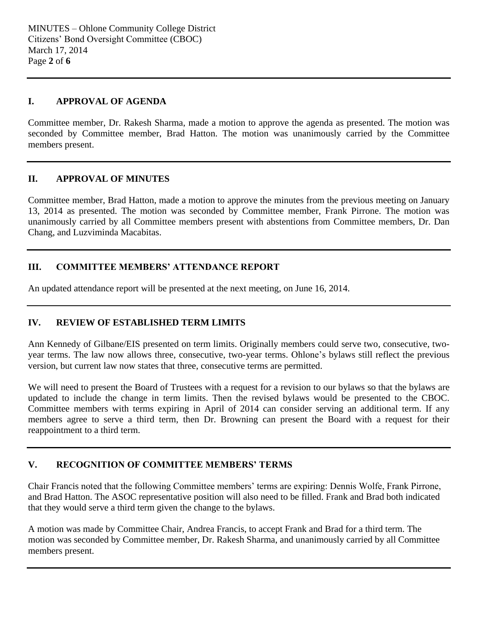#### **I. APPROVAL OF AGENDA**

Committee member, Dr. Rakesh Sharma, made a motion to approve the agenda as presented. The motion was seconded by Committee member, Brad Hatton. The motion was unanimously carried by the Committee members present.

#### **II. APPROVAL OF MINUTES**

Committee member, Brad Hatton, made a motion to approve the minutes from the previous meeting on January 13, 2014 as presented. The motion was seconded by Committee member, Frank Pirrone. The motion was unanimously carried by all Committee members present with abstentions from Committee members, Dr. Dan Chang, and Luzviminda Macabitas.

### **III. COMMITTEE MEMBERS' ATTENDANCE REPORT**

An updated attendance report will be presented at the next meeting, on June 16, 2014.

### **IV. REVIEW OF ESTABLISHED TERM LIMITS**

Ann Kennedy of Gilbane/EIS presented on term limits. Originally members could serve two, consecutive, twoyear terms. The law now allows three, consecutive, two-year terms. Ohlone's bylaws still reflect the previous version, but current law now states that three, consecutive terms are permitted.

We will need to present the Board of Trustees with a request for a revision to our bylaws so that the bylaws are updated to include the change in term limits. Then the revised bylaws would be presented to the CBOC. Committee members with terms expiring in April of 2014 can consider serving an additional term. If any members agree to serve a third term, then Dr. Browning can present the Board with a request for their reappointment to a third term.

### **V. RECOGNITION OF COMMITTEE MEMBERS' TERMS**

Chair Francis noted that the following Committee members' terms are expiring: Dennis Wolfe, Frank Pirrone, and Brad Hatton. The ASOC representative position will also need to be filled. Frank and Brad both indicated that they would serve a third term given the change to the bylaws.

A motion was made by Committee Chair, Andrea Francis, to accept Frank and Brad for a third term. The motion was seconded by Committee member, Dr. Rakesh Sharma, and unanimously carried by all Committee members present.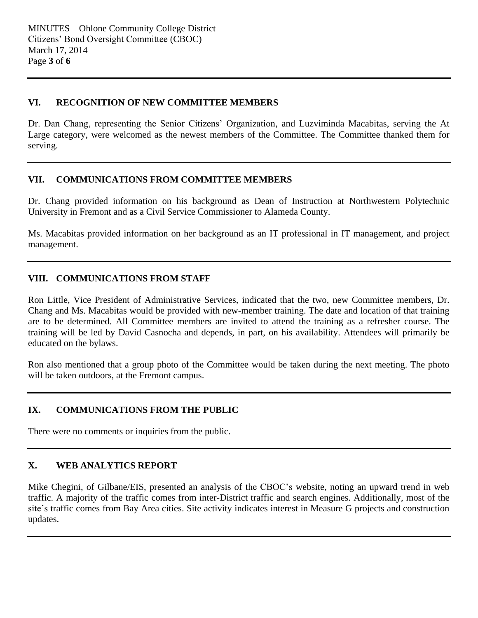#### **VI. RECOGNITION OF NEW COMMITTEE MEMBERS**

Dr. Dan Chang, representing the Senior Citizens' Organization, and Luzviminda Macabitas, serving the At Large category, were welcomed as the newest members of the Committee. The Committee thanked them for serving.

### **VII. COMMUNICATIONS FROM COMMITTEE MEMBERS**

Dr. Chang provided information on his background as Dean of Instruction at Northwestern Polytechnic University in Fremont and as a Civil Service Commissioner to Alameda County.

Ms. Macabitas provided information on her background as an IT professional in IT management, and project management.

### **VIII. COMMUNICATIONS FROM STAFF**

Ron Little, Vice President of Administrative Services, indicated that the two, new Committee members, Dr. Chang and Ms. Macabitas would be provided with new-member training. The date and location of that training are to be determined. All Committee members are invited to attend the training as a refresher course. The training will be led by David Casnocha and depends, in part, on his availability. Attendees will primarily be educated on the bylaws.

Ron also mentioned that a group photo of the Committee would be taken during the next meeting. The photo will be taken outdoors, at the Fremont campus.

# **IX. COMMUNICATIONS FROM THE PUBLIC**

There were no comments or inquiries from the public.

### **X. WEB ANALYTICS REPORT**

Mike Chegini, of Gilbane/EIS, presented an analysis of the CBOC's website, noting an upward trend in web traffic. A majority of the traffic comes from inter-District traffic and search engines. Additionally, most of the site's traffic comes from Bay Area cities. Site activity indicates interest in Measure G projects and construction updates.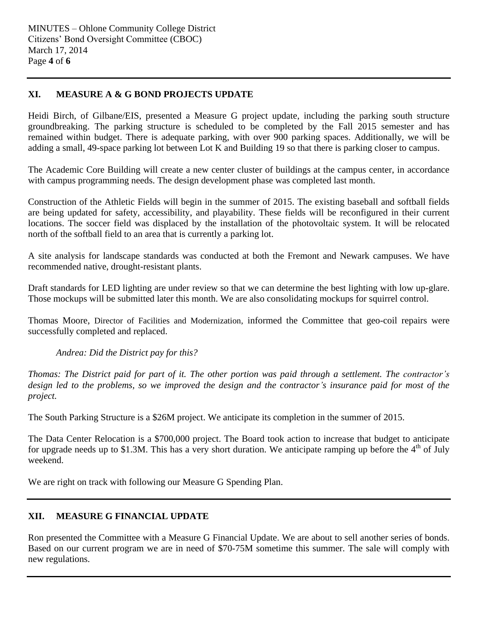# **XI. MEASURE A & G BOND PROJECTS UPDATE**

Heidi Birch, of Gilbane/EIS, presented a Measure G project update, including the parking south structure groundbreaking. The parking structure is scheduled to be completed by the Fall 2015 semester and has remained within budget. There is adequate parking, with over 900 parking spaces. Additionally, we will be adding a small, 49-space parking lot between Lot K and Building 19 so that there is parking closer to campus.

The Academic Core Building will create a new center cluster of buildings at the campus center, in accordance with campus programming needs. The design development phase was completed last month.

Construction of the Athletic Fields will begin in the summer of 2015. The existing baseball and softball fields are being updated for safety, accessibility, and playability. These fields will be reconfigured in their current locations. The soccer field was displaced by the installation of the photovoltaic system. It will be relocated north of the softball field to an area that is currently a parking lot.

A site analysis for landscape standards was conducted at both the Fremont and Newark campuses. We have recommended native, drought-resistant plants.

Draft standards for LED lighting are under review so that we can determine the best lighting with low up-glare. Those mockups will be submitted later this month. We are also consolidating mockups for squirrel control.

Thomas Moore, Director of Facilities and Modernization, informed the Committee that geo-coil repairs were successfully completed and replaced.

*Andrea: Did the District pay for this?*

*Thomas: The District paid for part of it. The other portion was paid through a settlement. The contractor's design led to the problems, so we improved the design and the contractor's insurance paid for most of the project.* 

The South Parking Structure is a \$26M project. We anticipate its completion in the summer of 2015.

The Data Center Relocation is a \$700,000 project. The Board took action to increase that budget to anticipate for upgrade needs up to \$1.3M. This has a very short duration. We anticipate ramping up before the  $4<sup>th</sup>$  of July weekend.

We are right on track with following our Measure G Spending Plan.

### **XII. MEASURE G FINANCIAL UPDATE**

Ron presented the Committee with a Measure G Financial Update. We are about to sell another series of bonds. Based on our current program we are in need of \$70-75M sometime this summer. The sale will comply with new regulations.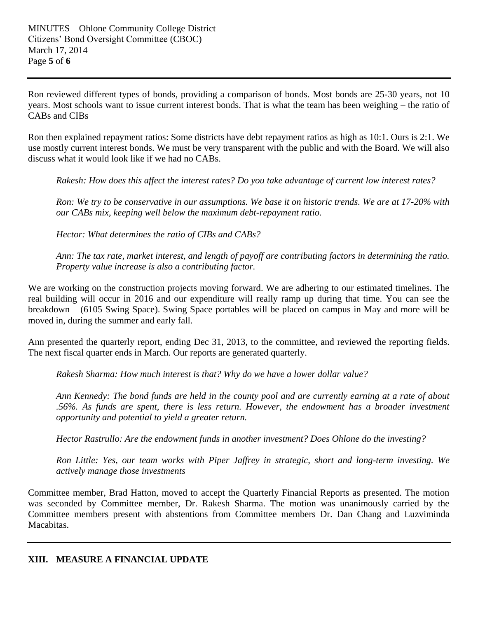Ron reviewed different types of bonds, providing a comparison of bonds. Most bonds are 25-30 years, not 10 years. Most schools want to issue current interest bonds. That is what the team has been weighing – the ratio of CABs and CIBs

Ron then explained repayment ratios: Some districts have debt repayment ratios as high as 10:1. Ours is 2:1. We use mostly current interest bonds. We must be very transparent with the public and with the Board. We will also discuss what it would look like if we had no CABs.

*Rakesh: How does this affect the interest rates? Do you take advantage of current low interest rates?*

*Ron: We try to be conservative in our assumptions. We base it on historic trends. We are at 17-20% with our CABs mix, keeping well below the maximum debt-repayment ratio.*

*Hector: What determines the ratio of CIBs and CABs?*

*Ann: The tax rate, market interest, and length of payoff are contributing factors in determining the ratio. Property value increase is also a contributing factor.*

We are working on the construction projects moving forward. We are adhering to our estimated timelines. The real building will occur in 2016 and our expenditure will really ramp up during that time. You can see the breakdown – (6105 Swing Space). Swing Space portables will be placed on campus in May and more will be moved in, during the summer and early fall.

Ann presented the quarterly report, ending Dec 31, 2013, to the committee, and reviewed the reporting fields. The next fiscal quarter ends in March. Our reports are generated quarterly.

*Rakesh Sharma: How much interest is that? Why do we have a lower dollar value?*

*Ann Kennedy: The bond funds are held in the county pool and are currently earning at a rate of about .56%. As funds are spent, there is less return. However, the endowment has a broader investment opportunity and potential to yield a greater return.*

*Hector Rastrullo: Are the endowment funds in another investment? Does Ohlone do the investing?*

*Ron Little: Yes, our team works with Piper Jaffrey in strategic, short and long-term investing. We actively manage those investments* 

Committee member, Brad Hatton, moved to accept the Quarterly Financial Reports as presented. The motion was seconded by Committee member, Dr. Rakesh Sharma. The motion was unanimously carried by the Committee members present with abstentions from Committee members Dr. Dan Chang and Luzviminda Macabitas.